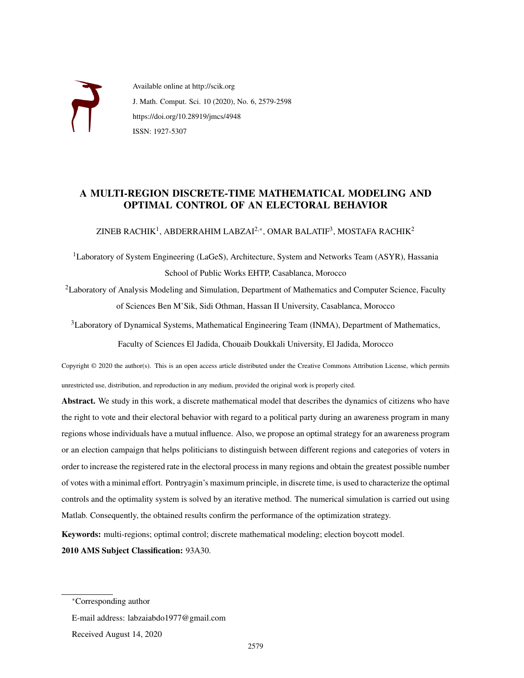

Available online at http://scik.org J. Math. Comput. Sci. 10 (2020), No. 6, 2579-2598 https://doi.org/10.28919/jmcs/4948 ISSN: 1927-5307

## A MULTI-REGION DISCRETE-TIME MATHEMATICAL MODELING AND OPTIMAL CONTROL OF AN ELECTORAL BEHAVIOR

ZINEB RACHIK $^1$ , ABDERRAHIM LABZAI $^{2,\ast}$ , OMAR BALATIF $^3$ , MOSTAFA RACHIK $^2$ 

 $<sup>1</sup>$ Laboratory of System Engineering (LaGeS), Architecture, System and Networks Team (ASYR), Hassania</sup> School of Public Works EHTP, Casablanca, Morocco

<sup>2</sup>Laboratory of Analysis Modeling and Simulation, Department of Mathematics and Computer Science, Faculty of Sciences Ben M'Sik, Sidi Othman, Hassan II University, Casablanca, Morocco

<sup>3</sup>Laboratory of Dynamical Systems, Mathematical Engineering Team (INMA), Department of Mathematics,

Faculty of Sciences El Jadida, Chouaib Doukkali University, El Jadida, Morocco

Copyright © 2020 the author(s). This is an open access article distributed under the Creative Commons Attribution License, which permits unrestricted use, distribution, and reproduction in any medium, provided the original work is properly cited.

Abstract. We study in this work, a discrete mathematical model that describes the dynamics of citizens who have the right to vote and their electoral behavior with regard to a political party during an awareness program in many regions whose individuals have a mutual influence. Also, we propose an optimal strategy for an awareness program or an election campaign that helps politicians to distinguish between different regions and categories of voters in order to increase the registered rate in the electoral process in many regions and obtain the greatest possible number of votes with a minimal effort. Pontryagin's maximum principle, in discrete time, is used to characterize the optimal controls and the optimality system is solved by an iterative method. The numerical simulation is carried out using Matlab. Consequently, the obtained results confirm the performance of the optimization strategy.

Keywords: multi-regions; optimal control; discrete mathematical modeling; election boycott model. 2010 AMS Subject Classification: 93A30.

E-mail address: labzaiabdo1977@gmail.com

Received August 14, 2020

<sup>∗</sup>Corresponding author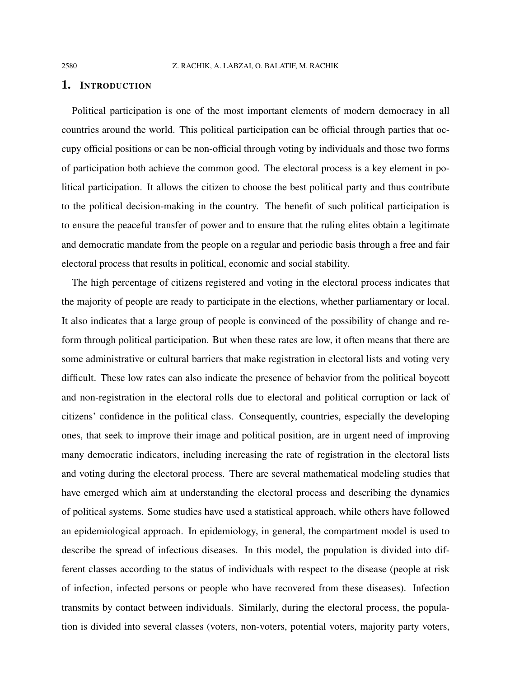#### 1. INTRODUCTION

Political participation is one of the most important elements of modern democracy in all countries around the world. This political participation can be official through parties that occupy official positions or can be non-official through voting by individuals and those two forms of participation both achieve the common good. The electoral process is a key element in political participation. It allows the citizen to choose the best political party and thus contribute to the political decision-making in the country. The benefit of such political participation is to ensure the peaceful transfer of power and to ensure that the ruling elites obtain a legitimate and democratic mandate from the people on a regular and periodic basis through a free and fair electoral process that results in political, economic and social stability.

The high percentage of citizens registered and voting in the electoral process indicates that the majority of people are ready to participate in the elections, whether parliamentary or local. It also indicates that a large group of people is convinced of the possibility of change and reform through political participation. But when these rates are low, it often means that there are some administrative or cultural barriers that make registration in electoral lists and voting very difficult. These low rates can also indicate the presence of behavior from the political boycott and non-registration in the electoral rolls due to electoral and political corruption or lack of citizens' confidence in the political class. Consequently, countries, especially the developing ones, that seek to improve their image and political position, are in urgent need of improving many democratic indicators, including increasing the rate of registration in the electoral lists and voting during the electoral process. There are several mathematical modeling studies that have emerged which aim at understanding the electoral process and describing the dynamics of political systems. Some studies have used a statistical approach, while others have followed an epidemiological approach. In epidemiology, in general, the compartment model is used to describe the spread of infectious diseases. In this model, the population is divided into different classes according to the status of individuals with respect to the disease (people at risk of infection, infected persons or people who have recovered from these diseases). Infection transmits by contact between individuals. Similarly, during the electoral process, the population is divided into several classes (voters, non-voters, potential voters, majority party voters,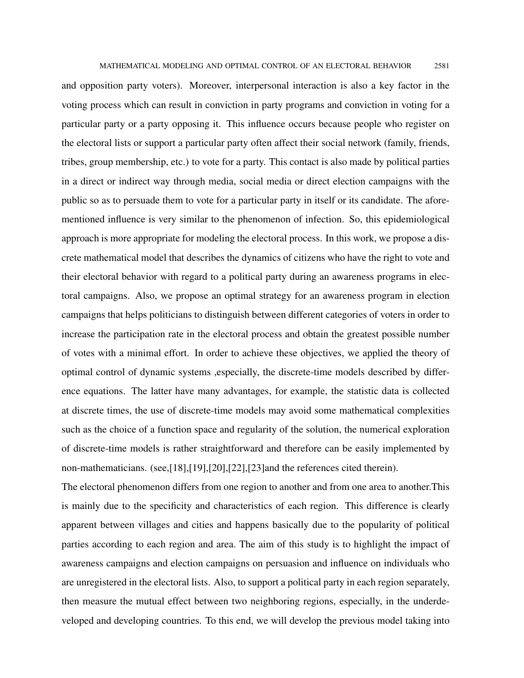MATHEMATICAL MODELING AND OPTIMAL CONTROL OF AN ELECTORAL BEHAVIOR 2581

and opposition party voters). Moreover, interpersonal interaction is also a key factor in the voting process which can result in conviction in party programs and conviction in voting for a particular party or a party opposing it. This influence occurs because people who register on the electoral lists or support a particular party often affect their social network (family, friends, tribes, group membership, etc.) to vote for a party. This contact is also made by political parties in a direct or indirect way through media, social media or direct election campaigns with the public so as to persuade them to vote for a particular party in itself or its candidate. The aforementioned influence is very similar to the phenomenon of infection. So, this epidemiological approach is more appropriate for modeling the electoral process. In this work, we propose a discrete mathematical model that describes the dynamics of citizens who have the right to vote and their electoral behavior with regard to a political party during an awareness programs in electoral campaigns. Also, we propose an optimal strategy for an awareness program in election campaigns that helps politicians to distinguish between different categories of voters in order to increase the participation rate in the electoral process and obtain the greatest possible number of votes with a minimal effort. In order to achieve these objectives, we applied the theory of optimal control of dynamic systems ,especially, the discrete-time models described by difference equations. The latter have many advantages, for example, the statistic data is collected at discrete times, the use of discrete-time models may avoid some mathematical complexities such as the choice of a function space and regularity of the solution, the numerical exploration of discrete-time models is rather straightforward and therefore can be easily implemented by non-mathematicians. (see,[18],[19],[20],[22],[23]and the references cited therein).

The electoral phenomenon differs from one region to another and from one area to another.This is mainly due to the specificity and characteristics of each region. This difference is clearly apparent between villages and cities and happens basically due to the popularity of political parties according to each region and area. The aim of this study is to highlight the impact of awareness campaigns and election campaigns on persuasion and influence on individuals who are unregistered in the electoral lists. Also, to support a political party in each region separately, then measure the mutual effect between two neighboring regions, especially, in the underdeveloped and developing countries. To this end, we will develop the previous model taking into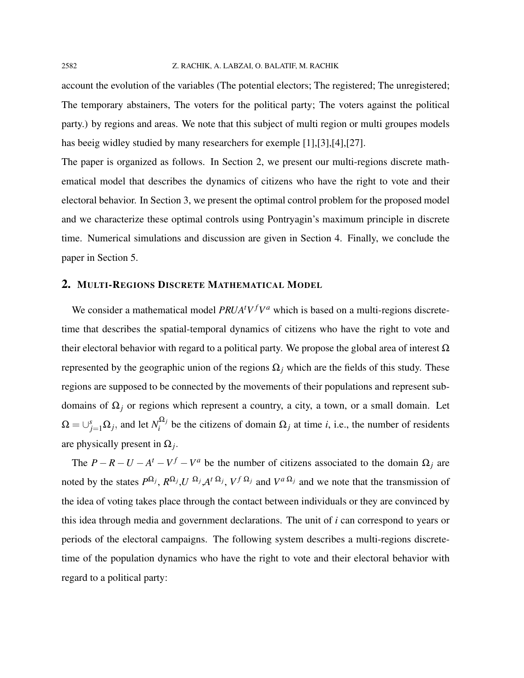account the evolution of the variables (The potential electors; The registered; The unregistered; The temporary abstainers, The voters for the political party; The voters against the political party.) by regions and areas. We note that this subject of multi region or multi groupes models has beeig widley studied by many researchers for exemple [1],[3],[4],[27].

The paper is organized as follows. In Section 2, we present our multi-regions discrete mathematical model that describes the dynamics of citizens who have the right to vote and their electoral behavior. In Section 3, we present the optimal control problem for the proposed model and we characterize these optimal controls using Pontryagin's maximum principle in discrete time. Numerical simulations and discussion are given in Section 4. Finally, we conclude the paper in Section 5.

### 2. MULTI-REGIONS DISCRETE MATHEMATICAL MODEL

We consider a mathematical model  $PRUA<sup>t</sup>V<sup>f</sup>V<sup>a</sup>$  which is based on a multi-regions discretetime that describes the spatial-temporal dynamics of citizens who have the right to vote and their electoral behavior with regard to a political party. We propose the global area of interest  $Ω$ represented by the geographic union of the regions  $\Omega$ <sub>*j*</sub> which are the fields of this study. These regions are supposed to be connected by the movements of their populations and represent subdomains of Ω*<sup>j</sup>* or regions which represent a country, a city, a town, or a small domain. Let  $\Omega = \cup_{j=1}^s \Omega_j$ , and let  $N_i^{\Omega_j}$  $\sum_{i}^{2i}$  be the citizens of domain  $\Omega_j$  at time *i*, i.e., the number of residents are physically present in  $\Omega_j$ .

The  $P - R - U - A^t - V^f - V^a$  be the number of citizens associated to the domain  $\Omega_j$  are noted by the states  $P^{\Omega_j}$ ,  $R^{\Omega_j}$ ,  $U^{\Omega_j}$ ,  $A^t{}^{\Omega_j}$ ,  $V^f{}^{\Omega_j}$  and  $V^a{}^{\Omega_j}$  and we note that the transmission of the idea of voting takes place through the contact between individuals or they are convinced by this idea through media and government declarations. The unit of *i* can correspond to years or periods of the electoral campaigns. The following system describes a multi-regions discretetime of the population dynamics who have the right to vote and their electoral behavior with regard to a political party: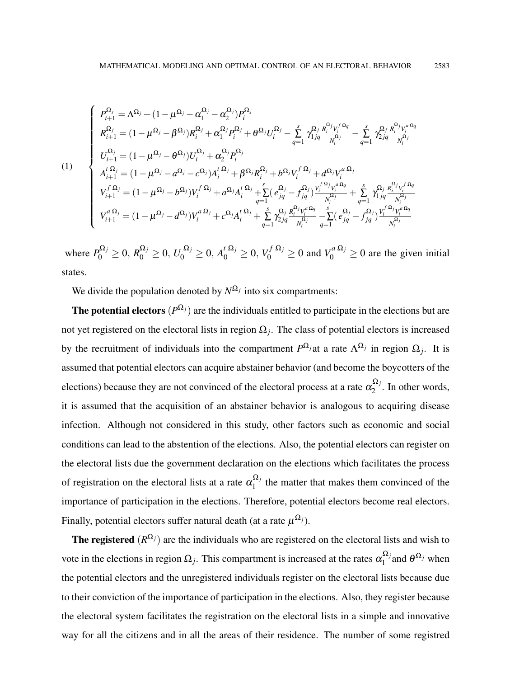$$
(1) \quad\n\begin{cases}\nP_{i+1}^{\Omega_{j}} = \Lambda^{\Omega_{j}} + (1 - \mu^{\Omega_{j}} - \alpha_{1}^{\Omega_{j}} - \alpha_{2}^{\Omega_{j}})P_{i}^{\Omega_{j}} \\
R_{i+1}^{\Omega_{j}} = (1 - \mu^{\Omega_{j}} - \beta^{\Omega_{j}})R_{i}^{\Omega_{j}} + \alpha_{1}^{\Omega_{j}}P_{i}^{\Omega_{j}} + \theta^{\Omega_{j}}U_{i}^{\Omega_{j}} - \sum_{q=1}^{s} \gamma_{1jq}^{\Omega_{j}} \frac{R_{i}^{\Omega_{j}}V_{i}^{\Omega_{q}} - \sum_{q=1}^{s} \gamma_{2jq}^{\Omega_{j}} \frac{R_{i}^{\Omega_{j}}V_{i}^{\Omega_{q}} - \sum_{q=1}^{s} \gamma_{1jq}^{\Omega_{j}} \frac{R_{i}^{\Omega_{j}}V_{i}^{\Omega_{q}} - \sum_{q=1}^{s} \gamma_{2jq}^{\Omega_{j}} \frac{R_{i}^{\Omega_{j}}V_{i}^{\Omega_{q}} - \sum_{q=1}^{s} \gamma_{2jq}^{\Omega_{j}} \frac{R_{i}^{\Omega_{j}}V_{i}^{\Omega_{q}} - \sum_{q=1}^{s} \gamma_{1jq}^{\Omega_{j}} \frac{R_{i}^{\Omega_{j}}V_{i}^{\Omega_{q}} - \sum_{q=1}^{s} \gamma_{1jq}^{\Omega_{j}} \frac{R_{i}^{\Omega_{j}}V_{i}^{\Omega_{q}} - \sum_{q=1}^{s} \gamma_{1jq}^{\Omega_{j}} \frac{R_{i}^{\Omega_{j}}V_{i}^{\Omega_{q}} - \sum_{q=1}^{s} \gamma_{1jq}^{\Omega_{j}} \frac{R_{i}^{\Omega_{j}}V_{i}^{\Omega_{q}} - \sum_{q=1}^{s} \gamma_{1jq}^{\Omega_{j}} \frac{R_{i}^{\Omega_{j}}V_{i}^{\Omega_{q}} - \sum_{q=1}^{s} \gamma_{1jq}^{\Omega_{j}} \frac{R_{i}^{\Omega_{j}}V_{i}^{\Omega_{q}} - \sum_{q=1}^{s} \gamma_{1jq}^{\Omega_{j}} \frac{R_{i}^{\Omega_{j}}V_{i}^{\Omega_{q}} - \sum_{q=1}^{s} \gamma_{1jq}^{\Omega_{j}} \frac{R_{i}^{\Omega_{j}}V_{i}^{\Omega
$$

where  $P_0^{\Omega_j} \ge 0$ ,  $R_0^{\Omega_j} \ge 0$ ,  $U_0^{\Omega_j} \ge 0$ ,  $A_0^t^{\Omega_j} \ge 0$ ,  $V_0^f^{\Omega_j} \ge 0$  and  $V_0^a^{\Omega_j} \ge 0$  are the given initial states.

We divide the population denoted by  $N^{\Omega_j}$  into six compartments:

The potential electors  $(P^{\Omega_j})$  are the individuals entitled to participate in the elections but are not yet registered on the electoral lists in region  $\Omega_j$ . The class of potential electors is increased by the recruitment of individuals into the compartment  $P^{\Omega_j}$  at a rate  $\Lambda^{\Omega_j}$  in region  $\Omega_j$ . It is assumed that potential electors can acquire abstainer behavior (and become the boycotters of the elections) because they are not convinced of the electoral process at a rate  $\alpha_2^{\Omega_j}$  $2^{2^2/2}$ . In other words, it is assumed that the acquisition of an abstainer behavior is analogous to acquiring disease infection. Although not considered in this study, other factors such as economic and social conditions can lead to the abstention of the elections. Also, the potential electors can register on the electoral lists due the government declaration on the elections which facilitates the process of registration on the electoral lists at a rate  $\alpha_1^{\Omega_j}$  $t_1^{2}$  the matter that makes them convinced of the importance of participation in the elections. Therefore, potential electors become real electors. Finally, potential electors suffer natural death (at a rate  $\mu^{\Omega_j}$ ).

**The registered**  $(R^{\Omega_j})$  are the individuals who are registered on the electoral lists and wish to vote in the elections in region  $\Omega_j$ . This compartment is increased at the rates  $\alpha_1^{\Omega_j}$  $\int_1^{\Omega_j}$  and  $\theta^{\Omega_j}$  when the potential electors and the unregistered individuals register on the electoral lists because due to their conviction of the importance of participation in the elections. Also, they register because the electoral system facilitates the registration on the electoral lists in a simple and innovative way for all the citizens and in all the areas of their residence. The number of some registred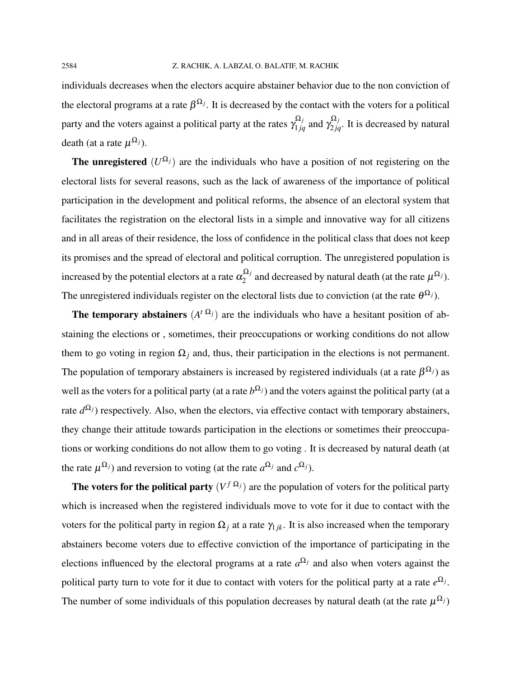individuals decreases when the electors acquire abstainer behavior due to the non conviction of the electoral programs at a rate  $\beta^{\Omega_j}$ . It is decreased by the contact with the voters for a political party and the voters against a political party at the rates  $\gamma_{1jq}^{\Omega_j}$  and  $\gamma_{2jq}^{\Omega_j}$ . It is decreased by natural death (at a rate  $\mu^{\Omega_j}$ ).

**The unregistered**  $(U^{\Omega_j})$  are the individuals who have a position of not registering on the electoral lists for several reasons, such as the lack of awareness of the importance of political participation in the development and political reforms, the absence of an electoral system that facilitates the registration on the electoral lists in a simple and innovative way for all citizens and in all areas of their residence, the loss of confidence in the political class that does not keep its promises and the spread of electoral and political corruption. The unregistered population is increased by the potential electors at a rate  $\alpha_2^{\Omega_j}$  $\sum_{2}^{\infty}$  and decreased by natural death (at the rate  $\mu^{\Omega_j}$ ). The unregistered individuals register on the electoral lists due to conviction (at the rate  $\theta^{\Omega_j}$ ).

The temporary abstainers  $(A^{t \Omega_j})$  are the individuals who have a hesitant position of abstaining the elections or , sometimes, their preoccupations or working conditions do not allow them to go voting in region  $\Omega_i$  and, thus, their participation in the elections is not permanent. The population of temporary abstainers is increased by registered individuals (at a rate  $\beta^{\Omega_j}$ ) as well as the voters for a political party (at a rate  $b^{\Omega_j}$ ) and the voters against the political party (at a rate  $d^{\Omega_j}$ ) respectively. Also, when the electors, via effective contact with temporary abstainers, they change their attitude towards participation in the elections or sometimes their preoccupations or working conditions do not allow them to go voting . It is decreased by natural death (at the rate  $\mu^{\Omega_j}$ ) and reversion to voting (at the rate  $a^{\Omega_j}$  and  $c^{\Omega_j}$ ).

The voters for the political party  $(V^{f \Omega_j})$  are the population of voters for the political party which is increased when the registered individuals move to vote for it due to contact with the voters for the political party in region  $\Omega_i$  at a rate  $\gamma_{i,k}$ . It is also increased when the temporary abstainers become voters due to effective conviction of the importance of participating in the elections influenced by the electoral programs at a rate  $a^{\Omega_j}$  and also when voters against the political party turn to vote for it due to contact with voters for the political party at a rate  $e^{\Omega_j}$ . The number of some individuals of this population decreases by natural death (at the rate  $\mu^{\Omega_j}$ )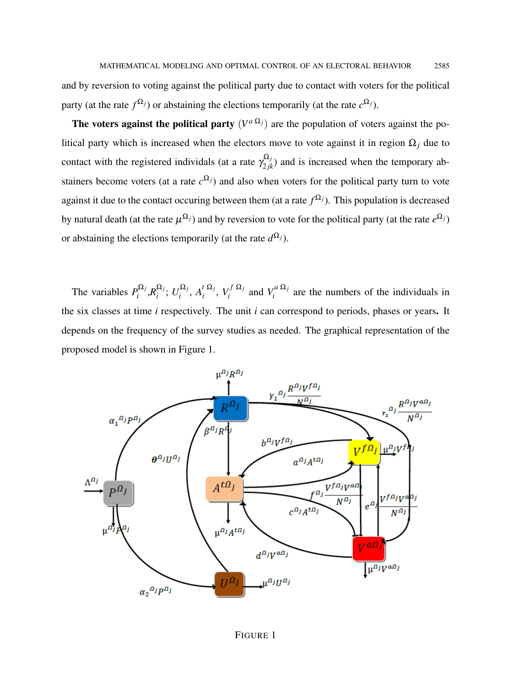and by reversion to voting against the political party due to contact with voters for the political party (at the rate  $f^{\Omega_j}$ ) or abstaining the elections temporarily (at the rate  $c^{\Omega_j}$ ).

The voters against the political party  $(V^{a \Omega_j})$  are the population of voters against the political party which is increased when the electors move to vote against it in region Ω*<sup>j</sup>* due to contact with the registered individals (at a rate  $\gamma_{2jk}^{\Omega_j}$ ) and is increased when the temporary abstainers become voters (at a rate  $c^{\Omega_j}$ ) and also when voters for the political party turn to vote against it due to the contact occuring between them (at a rate  $f^{\Omega_j}$ ). This population is decreased by natural death (at the rate  $\mu^{\Omega_j}$ ) and by reversion to vote for the political party (at the rate  $e^{\Omega_j}$ ) or abstaining the elections temporarily (at the rate  $d^{\Omega_j}$ ).

The variables  $P_i^{\Omega_j}$  $a_i^{\Omega_j}$ , $R_i^{\Omega_j}$  $\frac{\Omega_j}{i}$ ;  $U_i^{\Omega_j}$ <sup>*Ω<sub>j</sub>*</sup>,  $A_i^t$ <sup>Ω*j*</sup></sub>  $\sum_i^t \frac{\Omega_j}{\Omega_i}$ ,  $V_i^f \frac{\Omega_j}{\Omega}$  $V_i^{f \Omega_j}$  and  $V_i^{a \Omega_j}$  $\int_{i}^{a^{2}+2i}$  are the numbers of the individuals in the six classes at time *i* respectively. The unit *i* can correspond to periods, phases or years. It depends on the frequency of the survey studies as needed. The graphical representation of the proposed model is shown in Figure 1.

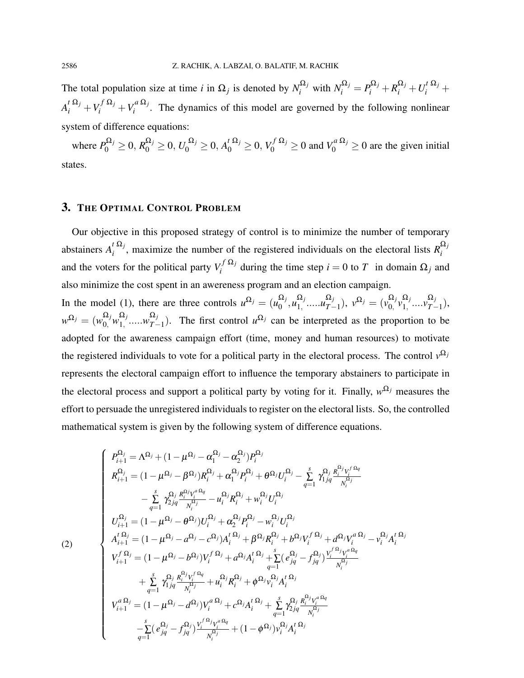The total population size at time *i* in  $\Omega_j$  is denoted by  $N_i^{\Omega_j}$  with  $N_i^{\Omega_j} = P_i^{\Omega_j} + R_i^{\Omega_j} + U_i^{\Omega_j} + I$  $A_i^t \frac{\Omega_j}{i} + V_i^f \frac{\Omega_j}{i} + V_i^a \frac{\Omega_j}{i}$  $\int_{i}^{u}$ <sup>22</sup>, The dynamics of this model are governed by the following nonlinear system of difference equations:

where  $P_0^{\Omega_j} \ge 0$ ,  $R_0^{\Omega_j} \ge 0$ ,  $U_0^{\Omega_j} \ge 0$ ,  $A_0^t^{\Omega_j} \ge 0$ ,  $V_0^f^{\Omega_j} \ge 0$  and  $V_0^a^{\Omega_j} \ge 0$  are the given initial states.

## 3. THE OPTIMAL CONTROL PROBLEM

Our objective in this proposed strategy of control is to minimize the number of temporary abstainers  $A_i^t \Omega_j$  $\sum_{i}^{t} \Omega_{i}$ , maximize the number of the registered individuals on the electoral lists  $R_{i}^{\Omega_{i}}$ *i* and the voters for the political party  $V_i^{f \Omega_j}$  $\sum_{i}^{J} \sum_{j}^{S}$  during the time step  $i = 0$  to *T* in domain  $\Omega_j$  and also minimize the cost spent in an awereness program and an election campaign.

In the model (1), there are three controls  $u^{\Omega_j} = (u_0^{\Omega_j})$  $_{0}^{\Omega _{j}},\mathbf{\mu}_{1,}^{\Omega _{j}}$  $\Omega_j$ <sub>1,</sub> ..... $u_{T-}^{\Omega_j}$  $(\alpha_j \over T-1), \; \overline{v^{\Omega_j}} = (\overline{v^{\Omega_j}})$  ${}^{\textstyle \Omega_j}_{0,\textstyle \nu_{1,}^{\Omega_j}}$  $\Omega_j$ <sub>1,</sub> .... $v^{\Omega_j}_{T-j}$  $T^{-1}$ <sub>7</sub>  $w^{\Omega_j} = (w^{\Omega_j}_0 w^{\Omega_j}_1)$  $\frac{\Omega_j}{1,}$ ..... $w^{\Omega_j}_{T-}$  $T_{T-1}^{2}$ ). The first control  $u^{\Omega_j}$  can be interpreted as the proportion to be adopted for the awareness campaign effort (time, money and human resources) to motivate the registered individuals to vote for a political party in the electoral process. The control  $v^{\Omega_j}$ represents the electoral campaign effort to influence the temporary abstainers to participate in the electoral process and support a political party by voting for it. Finally,  $w^{\Omega_j}$  measures the effort to persuade the unregistered individuals to register on the electoral lists. So, the controlled mathematical system is given by the following system of difference equations.

$$
\left\{\n\begin{array}{l} P_{i+1}^{\Omega_{j}} = \Lambda^{\Omega_{j}} + (1 - \mu^{\Omega_{j}} - \alpha_{1}^{\Omega_{j}} - \alpha_{2}^{\Omega_{j}}) P_{i}^{\Omega_{j}} \\ R_{i+1}^{\Omega_{j}} = (1 - \mu^{\Omega_{j}} - \beta^{\Omega_{j}}) R_{i}^{\Omega_{j}} + \alpha_{1}^{\Omega_{j}} P_{i}^{\Omega_{j}} + \theta^{\Omega_{j}} U_{i}^{\Omega_{j}} - \sum_{q=1}^{s} \gamma_{1jq}^{\Omega_{j}} \frac{R_{i}^{\Omega_{j}} V_{i}^{\Omega_{q}}}{N_{i}^{\Omega_{j}}} \\ - \sum_{q=1}^{s} \gamma_{2jq}^{\Omega_{j}} \frac{R_{i}^{\Omega_{j}} V_{i}^{\alpha_{q}}}{N_{i}^{\Omega_{j}}} - u_{i}^{\Omega_{j}} R_{i}^{\Omega_{j}} + w_{i}^{\Omega_{j}} U_{i}^{\Omega_{j}} \\ U_{i+1}^{\Omega_{j}} = (1 - \mu^{\Omega_{j}} - \theta^{\Omega_{j}}) U_{i}^{\Omega_{j}} + \alpha_{2}^{\Omega_{j}} P_{i}^{\Omega_{j}} - w_{i}^{\Omega_{j}} U_{i}^{\Omega_{j}} \\ A_{i+1}^{\Omega_{j}} = (1 - \mu^{\Omega_{j}} - a^{\Omega_{j}} - c^{\Omega_{j}}) A_{i}^{\Omega_{j}} + \beta^{\Omega_{j}} R_{i}^{\Omega_{j}} + b^{\Omega_{j}} V_{i}^{\Omega_{j}} + d^{\Omega_{j}} V_{i}^{\alpha_{\Omega_{j}}} - v_{i}^{\Omega_{j}} A_{i}^{\Omega_{j}} \\ V_{i+1}^{\Omega_{j}} = (1 - \mu^{\Omega_{j}} - b^{\Omega_{j}}) V_{i}^{\Omega_{j}} + a^{\Omega_{j}} A_{i}^{\Omega_{j}} + \sum_{q=1}^{s} (e_{jq}^{\Omega_{j}} - f_{jq}^{\Omega_{j}}) \frac{V_{i}^{\Omega_{j}} V_{i}^{\alpha_{q}}}{N_{i}^{\Omega_{j}}} \\ + \sum_{q=1}^{s} \gamma_{1jq}^{\Omega_{j}} \frac{R_{i}^{\Omega_{j}} V_{i}^{\Omega_{q}}}{N_{i}^{\Omega_{j}}} + u_{i}^{\Omega_{j}} R_{i}^{\Omega_{j}} + \phi^{\Omega
$$

(2)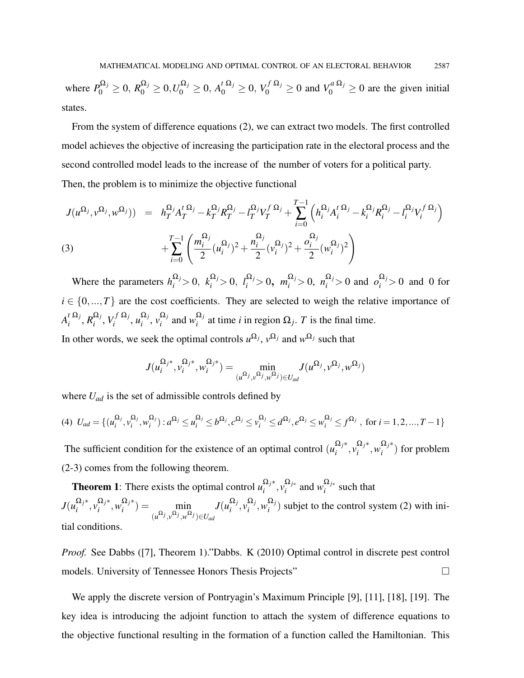where  $P_0^{\Omega_j} \ge 0$ ,  $R_0^{\Omega_j} \ge 0$ ,  $U_0^{\Omega_j} \ge 0$ ,  $A_0^t^{\Omega_j} \ge 0$ ,  $V_0^f^{\Omega_j} \ge 0$  and  $V_0^a^{\Omega_j} \ge 0$  are the given initial states.

From the system of difference equations (2), we can extract two models. The first controlled model achieves the objective of increasing the participation rate in the electoral process and the second controlled model leads to the increase of the number of voters for a political party. Then, the problem is to minimize the objective functional

$$
J(u^{\Omega_j}, v^{\Omega_j}, w^{\Omega_j})) = h_T^{\Omega_j} A_T^{t \Omega_j} - k_T^{\Omega_j} R_T^{\Omega_j} - l_T^{\Omega_j} V_T^{f \Omega_j} + \sum_{i=0}^{T-1} \left( h_i^{\Omega_j} A_i^{t \Omega_j} - k_i^{\Omega_j} R_i^{\Omega_j} - l_i^{\Omega_j} V_i^{f \Omega_j} \right) + \sum_{i=0}^{T-1} \left( \frac{m_i^{\Omega_j}}{2} (u_i^{\Omega_j})^2 + \frac{n_i^{\Omega_j}}{2} (v_i^{\Omega_j})^2 + \frac{o_i^{\Omega_j}}{2} (w_i^{\Omega_j})^2 \right)
$$
\n(3)

Where the parameters  $h_i^{\Omega_j} > 0$ ,  $k_i^{\Omega_j} > 0$ ,  $l_i^{\Omega_j} > 0$ ,  $m_i^{\Omega_j} > 0$ ,  $n_i^{\Omega_j} > 0$  and  $o_i^{\Omega_j} > 0$  and 0 for  $i \in \{0, ..., T\}$  are the cost coefficients. They are selected to weigh the relative importance of  $A_i^t \frac{\Omega_j}{\Omega}$  $\frac{d}{i}$ <sup> $\Omega_j$ </sup>,  $R_i^{\Omega_j}$  $\frac{\Omega_j}{i}$ ,  $V_i^f \frac{\Omega_j}{i}$  $u_i^{f\,\Omega_j}, u_i^{\Omega_j}$  $\frac{\Omega_j}{i}, \frac{\Omega_j}{\nu_i}$  $\sum_{i}^{\Omega_j}$  and  $w_i^{\Omega_j}$  $i_j^{\alpha}$  at time *i* in region  $\Omega_j$ . *T* is the final time. In other words, we seek the optimal controls  $u^{\Omega_j}$ ,  $v^{\Omega_j}$  and  $w^{\Omega_j}$  such that

$$
J(\mathbf{u}_i^{\Omega_{j^\ast}}, \mathbf{v}_i^{\Omega_{j^\ast}}, \mathbf{w}_i^{\Omega_{j^\ast}}) = \min_{(\mathbf{u}^{\Omega_{j}}, \mathbf{v}^{\Omega_{j}}, \mathbf{w}^{\Omega_{j}}) \in U_{ad}} J(\mathbf{u}^{\Omega_{j}}, \mathbf{v}^{\Omega_{j}}, \mathbf{w}^{\Omega_{j}})
$$

where *Uad* is the set of admissible controls defined by

$$
(4) \ U_{ad} = \{ (u_i^{\Omega_j}, v_i^{\Omega_j}, w_i^{\Omega_j}) : a^{\Omega_j} \le u_i^{\Omega_j} \le b^{\Omega_j}, c^{\Omega_j} \le v_i^{\Omega_j} \le d^{\Omega_j}, e^{\Omega_j} \le w_i^{\Omega_j} \le f^{\Omega_j} , \text{ for } i = 1, 2, ..., T - 1 \}
$$

The sufficient condition for the existence of an optimal control  $(u_i^{\Omega_j*})$  $\frac{\Omega_j^*}{i}, \frac{\Omega_j^*}{i}$  $\frac{\Omega_j^*}{i}, \frac{\Omega_j^*}{i}$  $\binom{22}{i}$  for problem (2-3) comes from the following theorem.

**Theorem 1**: There exists the optimal control  $u_i^{\Omega_j *}$  $\frac{\Omega_j^*}{i}, \frac{\Omega_{j^*}}{i}$  $\frac{\Omega_{j*}}{i}$  and *w*<sup>Ω</sup>*j*∗  $\int_{i}^{22}$  such that *J*( $u_i^{\Omega_j*}$  $\frac{\Omega_j^*}{i}, \frac{\Omega_j^*}{i}$  $\Omega_j^*, \Omega_j^*$  $\binom{a}{i}$  =  $\min$  min  $(u^{\Omega_j}, v^{\Omega_j}, w^{\Omega_j}) \in U_{ad}$  $J(u_i^{\Omega_j})$  $\frac{\Omega_j}{i}, \frac{\Omega_j}{v_i}$  $\frac{\Omega_j}{i}, \frac{\Omega_j}{w_i}$  $i^{22}$ ) subjet to the control system (2) with initial conditions.

*Proof.* See Dabbs ([7], Theorem 1)."Dabbs. K (2010) Optimal control in discrete pest control models. University of Tennessee Honors Thesis Projects"

We apply the discrete version of Pontryagin's Maximum Principle [9], [11], [18], [19]. The key idea is introducing the adjoint function to attach the system of difference equations to the objective functional resulting in the formation of a function called the Hamiltonian. This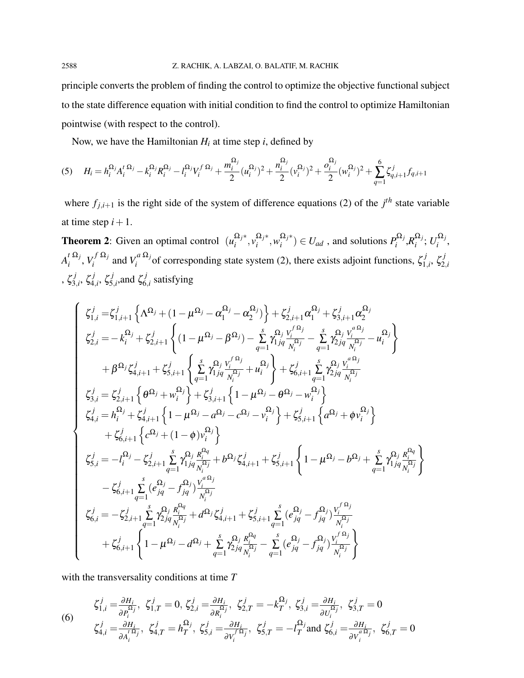principle converts the problem of finding the control to optimize the objective functional subject to the state difference equation with initial condition to find the control to optimize Hamiltonian pointwise (with respect to the control).

Now, we have the Hamiltonian  $H_i$  at time step  $i$ , defined by

$$
(5) \quad H_i = h_i^{\Omega_j} A_i^{\{1\}} - k_i^{\Omega_j} R_i^{\Omega_j} - l_i^{\Omega_j} V_i^{\{1\}} - l_i^{\{1\}} + \frac{m_i^{\{1\}}}{2} (u_i^{\{1\}})^2 + \frac{n_i^{\{1\}}}{2} (v_i^{\{1\}})^2 + \frac{o_i^{\{1\}}}{2} (w_i^{\{1\}})^2 + \sum_{q=1}^{6} \zeta_{q,i+1}^j f_{q,i+1}
$$

where  $f_{j,i+1}$  is the right side of the system of difference equations (2) of the  $j<sup>th</sup>$  state variable at time step  $i+1$ .

**Theorem 2:** Given an optimal control  $(u_i^{\Omega_j^*})$  $\frac{\Omega_j^*}{i}, \frac{\Omega_j^*}{i}$  $\Omega_j^*, \Omega_j^*$  $\binom{\Omega_j^*}{i} \in U_{ad}$  , and solutions  $P_i^{\Omega_j^*}$  $R_i^{\Omega_j}$ , $R_i^{\Omega_j}$  $\frac{\Omega_j}{i}$ ;  $U_i^{\Omega_j}$  $\int_i^{s_2}$ ,  $A_i^t \Omega_j$  $\frac{d}{i}$ <sup> $\frac{\Omega_j}{i}$ </sup>,  $V_i^f$  $\frac{\Omega_j}{i}$  $V_i^{f(\Omega_j)}$  and  $V_i^{a(\Omega_j)}$  $\int_{i}^{a} \Omega_{j}$  of corresponding state system (2), there exists adjoint functions,  $\zeta_{1}^{j}$  $\zeta^j_{1,i},\,\zeta^j_{2,j}$ 2,*i* , ζ *j* 3,*i* , ζ *j* 4,*i* , ζ *j*  $\zeta_{5,i}^j$ , and  $\zeta_6^j$  $\zeta_{i,j}^{'}$  satisfying

$$
\left\{\begin{array}{l} \zeta_{1,i}^{j}=\zeta_{1,i+1}^{j}\left\{\Lambda^{\Omega_{j}}+(1-\mu^{\Omega_{j}}-\alpha_{1}^{\Omega_{j}}-\alpha_{2}^{\Omega_{j}})\right\}+\zeta_{2,i+1}^{j}\alpha_{1}^{\Omega_{j}}+\zeta_{3,i+1}^{j}\alpha_{2}^{\Omega_{j}} \\ \zeta_{2,i}^{j}=-k_{i}^{\Omega_{j}}+\zeta_{2,i+1}^{j}\left\{(1-\mu^{\Omega_{j}}-\beta^{\Omega_{j}})-\sum\limits_{q=1}^{s}\gamma_{1,j}^{\Omega_{j}}\frac{V_{i}^{(\Omega_{j}}}{N_{i}^{\Omega_{j}}}-\sum\limits_{q=1}^{s}\gamma_{2,j}^{\Omega_{j}}\frac{V_{i}^{(\Omega_{j}}}{N_{i}^{\Omega_{j}}}-u_{i}^{\Omega_{j}}\right\} \\ +\beta^{\Omega_{j}}\zeta_{4,i+1}^{j}+\zeta_{5,i+1}^{j}\left\{\sum\limits_{q=1}^{s}\gamma_{1,j}^{\Omega_{j}}\frac{V_{i}^{(\Omega_{j}}}{N_{i}^{\Omega_{j}}}+u_{i}^{\Omega_{j}}\right\}+\zeta_{6,i+1}^{j}\sum\limits_{q=1}^{s}\gamma_{2,j}^{\Omega_{j}}\frac{V_{i}^{(\Omega_{j}}}{N_{i}^{\Omega_{j}}} \\ \zeta_{3,i}^{j}=\zeta_{2,i+1}^{j}\left\{\theta^{\Omega_{j}}+w_{i}^{\Omega_{j}}\right\}+\zeta_{3,i+1}^{j}\left\{1-\mu^{\Omega_{j}}-\theta^{\Omega_{j}}-w_{i}^{\Omega_{j}}\right\} \\ \zeta_{4,i}^{j}=h_{i}^{\Omega_{j}}+\zeta_{4,i+1}^{j}\left\{1-\mu^{\Omega_{j}}-a^{\Omega_{j}}-c^{\Omega_{j}}-v_{i}^{\Omega_{j}}\right\}+\zeta_{5,i+1}^{j}\left\{a^{\Omega_{j}}+\phi v_{i}^{\Omega_{j}}\right\} \\ +\zeta_{6,i+1}^{j}\left\{\zeta^{\Omega_{j}}+(1-\phi)v_{i}^{\Omega_{j}}\right\} \\ \zeta_{5,i}^{j}=-l_{i}^{\Omega_{j}}-\zeta_{2,i+1}^{j}\sum\limits_{q=1}^{s}\gamma_{1,j}^{\Omega_{j}}\frac{R_{i}^{\
$$

with the transversality conditions at time *T*

(6) 
$$
\zeta_{1,i}^{j} = \frac{\partial H_{i}}{\partial P_{i}^{\Omega_{j}}}, \ \zeta_{1,T}^{j} = 0, \ \zeta_{2,i}^{j} = \frac{\partial H_{i}}{\partial R_{i}^{\Omega_{j}}}, \ \zeta_{2,T}^{j} = -k_{T}^{\Omega_{j}}, \ \zeta_{3,i}^{j} = \frac{\partial H_{i}}{\partial U_{i}^{\Omega_{j}}}, \ \zeta_{3,T}^{j} = 0
$$
\n
$$
\zeta_{4,i}^{j} = \frac{\partial H_{i}}{\partial A_{i}^{\Omega_{j}}}, \ \zeta_{4,T}^{j} = h_{T}^{\Omega_{j}}, \ \zeta_{5,i}^{j} = \frac{\partial H_{i}}{\partial V_{i}^{\Omega_{j}}}, \ \zeta_{5,T}^{j} = -l_{T}^{\Omega_{j}} \text{and } \zeta_{6,i}^{j} = \frac{\partial H_{i}}{\partial V_{i}^{\Omega_{j}}}, \ \zeta_{6,T}^{j} = 0
$$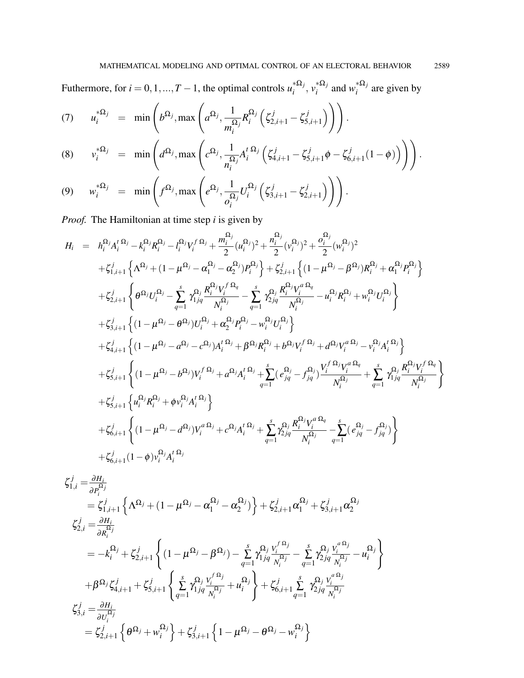Futhermore, for  $i = 0, 1, ..., T - 1$ , the optimal controls  $u_i^{* \Omega_j}$ <sup>\*Ω*j*</sup>,  $v_i^{*Ω}$ *j*  $\sum_{i}^{*\Omega_j}$  and  $w_i^{*\Omega_j}$  $\int_{i}^{32}$  are given by

$$
(7) \qquad u_i^{*\Omega_j} = \min\left(b^{\Omega_j}, \max\left(a^{\Omega_j}, \frac{1}{m_i^{\Omega_j}}R_i^{\Omega_j}\left(\zeta_{2,i+1}^j - \zeta_{5,i+1}^j\right)\right)\right).
$$

(8) 
$$
v_i^{*\Omega_j} = \min \left( d^{\Omega_j}, \max \left( c^{\Omega_j}, \frac{1}{n_i^{\Omega_j}} A_i^{t \Omega_j} \left( \zeta_{4,i+1}^j - \zeta_{5,i+1}^j \phi - \zeta_{6,i+1}^j (1 - \phi) \right) \right) \right).
$$

$$
(9) \quad w_i^{*\Omega_j} = \min\left(f^{\Omega_j}, \max\left(e^{\Omega_j}, \frac{1}{o_i^{\Omega_j}}U_i^{\Omega_j}\left(\zeta_{3,i+1}^j - \zeta_{2,i+1}^j\right)\right)\right).
$$

*Proof.* The Hamiltonian at time step *i* is given by

$$
H_{i} = h_{i}^{\Omega_{j}} A_{i}^{t \Omega_{j}} - k_{i}^{\Omega_{j}} R_{i}^{\Omega_{j}} - l_{i}^{\Omega_{j}} V_{j}^{t \Omega_{j}} + \frac{m_{i}^{\Omega_{j}}}{2} (u_{i}^{\Omega_{j}})^{2} + \frac{n_{i}^{\Omega_{j}}}{2} (v_{i}^{\Omega_{j}})^{2} + \frac{\sigma_{i}^{\Omega_{j}}}{2} (w_{i}^{\Omega_{j}})^{2}
$$
  
\n
$$
+ \zeta_{1,i+1}^{j} \left\{ \Lambda^{\Omega_{j}} + (1 - \mu^{\Omega_{j}} - \alpha_{1}^{\Omega_{j}} - \alpha_{2}^{\Omega_{j}}) P_{i}^{\Omega_{j}} \right\} + \zeta_{2,i+1}^{j} \left\{ (1 - \mu^{\Omega_{j}} - \beta^{\Omega_{j}}) R_{i}^{\Omega_{j}} + \alpha_{1}^{\Omega_{j}} P_{i}^{\Omega_{j}} \right\}
$$
  
\n
$$
+ \zeta_{2,i+1}^{j} \left\{ \theta^{\Omega_{j}} U_{i}^{\Omega_{j}} - \sum_{q=1}^{s} \gamma_{1,jq}^{\Omega_{j}} \frac{R_{i}^{\Omega_{j}} V_{i}^{\Omega_{q}}}{N_{i}^{\Omega_{j}}} - \sum_{q=1}^{s} \gamma_{2,jq}^{\Omega_{j}} \frac{R_{i}^{\Omega_{j}} V_{i}^{\Omega_{q}}}{N_{i}^{\Omega_{j}}} - u_{i}^{\Omega_{j}} R_{i}^{\Omega_{j}} + w_{i}^{\Omega_{j}} U_{i}^{\Omega_{j}} \right\}
$$
  
\n
$$
+ \zeta_{3,i+1}^{j} \left\{ (1 - \mu^{\Omega_{j}} - \theta^{\Omega_{j}}) U_{i}^{\Omega_{j}} + \alpha_{2}^{\Omega_{j}} P_{i}^{\Omega_{j}} - w_{i}^{\Omega_{j}} U_{i}^{\Omega_{j}} \right\}
$$
  
\n
$$
+ \zeta_{4,i+1}^{j} \left\{ (1 - \mu^{\Omega_{j}} - \sigma^{\Omega_{j}}) A_{i}^{t \Omega_{j}} + \beta^{\Omega_{j}} R_{i}^{\Omega_{j}} + \beta^{\Omega_{j}} V_{i}^{\Omega_{j}} + d^{\Omega_{j}} V_{i}^{\Omega_{j}} - v_{i
$$

$$
\zeta_{1,i}^{j} = \frac{\partial H_{i}}{\partial P_{i}^{\Omega_{j}}}
$$
\n
$$
= \zeta_{1,i+1}^{j} \left\{ \Lambda^{\Omega_{j}} + (1 - \mu^{\Omega_{j}} - \alpha_{1}^{\Omega_{j}} - \alpha_{2}^{\Omega_{j}}) \right\} + \zeta_{2,i+1}^{j} \alpha_{1}^{\Omega_{j}} + \zeta_{3,i+1}^{j} \alpha_{2}^{\Omega_{j}}
$$
\n
$$
\zeta_{2,i}^{j} = \frac{\partial H_{i}}{\partial R_{i}^{\Omega_{j}}}
$$
\n
$$
= -k_{i}^{\Omega_{j}} + \zeta_{2,i+1}^{j} \left\{ (1 - \mu^{\Omega_{j}} - \beta^{\Omega_{j}}) - \sum_{q=1}^{s} \gamma_{1jq}^{\Omega_{j}} \frac{V_{i}^{f \Omega_{j}}}{N_{i}^{\Omega_{j}}} - \sum_{q=1}^{s} \gamma_{2jq}^{\Omega_{j}} \frac{V_{i}^{a \Omega_{j}}}{N_{i}^{\Omega_{j}}} - u_{i}^{\Omega_{j}} \right\}
$$
\n
$$
+ \beta^{\Omega_{j}} \zeta_{4,i+1}^{j} + \zeta_{5,i+1}^{j} \left\{ \sum_{q=1}^{s} \gamma_{1jq}^{\Omega_{j}} \frac{V_{i}^{f \Omega_{j}}}{N_{i}^{\Omega_{j}}} + u_{i}^{\Omega_{j}} \right\} + \zeta_{6,i+1}^{j} \sum_{q=1}^{s} \gamma_{2jq}^{\Omega_{j}} \frac{V_{i}^{a \Omega_{j}}}{N_{i}^{\Omega_{j}}}
$$
\n
$$
\zeta_{3,i}^{j} = \frac{\partial H_{i}}{\partial U_{i}^{\Omega_{j}}}
$$
\n
$$
= \zeta_{2,i+1}^{j} \left\{ \theta^{\Omega_{j}} + w_{i}^{\Omega_{j}} \right\} + \zeta_{3,i+1}^{j} \left\{ 1 - \mu^{\Omega_{j}} - \theta^{\Omega_{j}} - w_{i}^{\Omega_{j}} \right\}
$$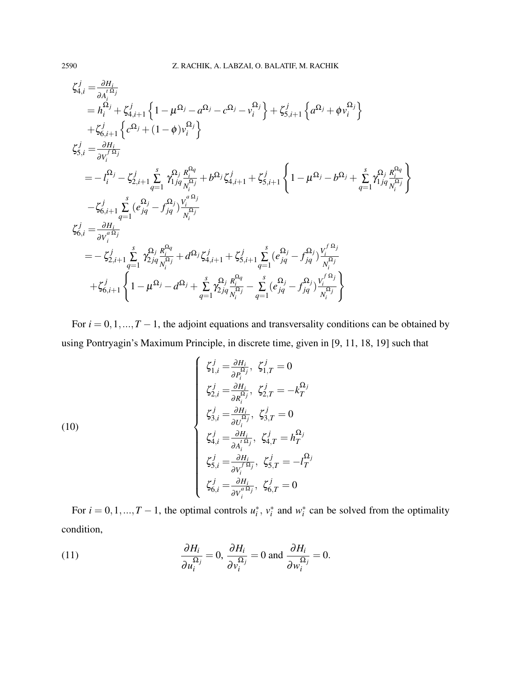$$
\zeta_{4,i}^{j} = \frac{\partial H_{i}}{\partial A_{i}^{(i)}}\n= h_{i}^{\Omega_{j}} + \zeta_{4,i+1}^{j} \left\{ 1 - \mu^{\Omega_{j}} - a^{\Omega_{j}} - c^{\Omega_{j}} - v_{i}^{\Omega_{j}} \right\} + \zeta_{5,i+1}^{j} \left\{ a^{\Omega_{j}} + \phi v_{i}^{\Omega_{j}} \right\}\n+ \zeta_{6,i+1}^{j} \left\{ c^{\Omega_{j}} + (1 - \phi) v_{i}^{\Omega_{j}} \right\}\n\zeta_{5,i}^{j} = \frac{\partial H_{i}}{\partial v_{i}^{\Omega_{j}}}\n= - l_{i}^{\Omega_{j}} - \zeta_{2,i+1}^{j} \sum_{q=1}^{s} \gamma_{1jq}^{\Omega_{j}} \frac{\kappa_{i}^{\Omega_{q}}}{\kappa_{i}^{\Omega_{j}}} + b^{\Omega_{j}} \zeta_{4,i+1}^{j} + \zeta_{5,i+1}^{j} \left\{ 1 - \mu^{\Omega_{j}} - b^{\Omega_{j}} + \sum_{q=1}^{s} \gamma_{1jq}^{\Omega_{j}} \frac{\kappa_{i}^{\Omega_{q}}}{\kappa_{i}^{\Omega_{j}}} \right\}\n- \zeta_{6,i+1}^{j} \sum_{q=1}^{s} (e_{jq}^{\Omega_{j}} - f_{jq}^{\Omega_{j}}) \frac{v_{i}^{\Omega_{j}}}{\kappa_{i}^{\Omega_{j}}}\n\zeta_{6,i}^{j} = \frac{\partial H_{i}}{\partial v_{i}^{\Omega_{j}}}}\n= - \zeta_{2,i+1}^{j} \sum_{q=1}^{s} \gamma_{2jq}^{\Omega_{j}} \frac{\kappa_{i}^{\Omega_{q}}}{\kappa_{i}^{\Omega_{j}}} + d^{\Omega_{j}} \zeta_{4,i+1}^{j} + \zeta_{5,i+1}^{j} \sum_{q=1}^{s} (e_{jq}^{\Omega_{j}} - f_{jq}^{\Omega_{j}}) \frac{v_{i}^{\Omega_{j}}}{\kappa_{i}^{\Omega_{j}}} \n+ \zeta_{6,i+1}^{j} \left\{ 1 - \mu^{\Omega_{j}} - d^{\Omega_{j}} + \sum_{q=1}^{s} \gamma_{2jq}^{\Omega_{j}} \frac{\kappa_{i}^{\Omega_{q
$$

For  $i = 0, 1, ..., T - 1$ , the adjoint equations and transversality conditions can be obtained by using Pontryagin's Maximum Principle, in discrete time, given in [9, 11, 18, 19] such that

(10)  
\n
$$
\begin{cases}\n\zeta_{1,i}^{j} = \frac{\partial H_{i}}{\partial P_{i}^{\Omega_{j}}}, \ \zeta_{1,T}^{j} = 0 \\
\zeta_{2,i}^{j} = \frac{\partial H_{i}}{\partial R_{i}^{\Omega_{j}}}, \ \zeta_{2,T}^{j} = -k_{T}^{\Omega_{j}} \\
\zeta_{3,i}^{j} = \frac{\partial H_{i}}{\partial U_{i}^{\Omega_{j}}}, \ \zeta_{3,T}^{j} = 0 \\
\zeta_{4,i}^{j} = \frac{\partial H_{i}}{\partial A_{i}^{\Omega_{i}}}, \ \zeta_{4,T}^{j} = h_{T}^{\Omega_{j}} \\
\zeta_{5,i}^{j} = \frac{\partial H_{i}}{\partial V_{i}^{\Omega_{j}}}, \ \zeta_{5,T}^{j} = -l_{T}^{\Omega_{j}} \\
\zeta_{6,i}^{j} = \frac{\partial H_{i}}{\partial V_{i}^{\Omega_{i}}}, \ \zeta_{6,T}^{j} = 0\n\end{cases}
$$

For  $i = 0, 1, ..., T - 1$ , the optimal controls  $u_i^*$ ,  $v_i^*$  and  $w_i^*$  can be solved from the optimality condition,

(11) 
$$
\frac{\partial H_i}{\partial u_i^{\Omega_j}} = 0, \frac{\partial H_i}{\partial v_i^{\Omega_j}} = 0 \text{ and } \frac{\partial H_i}{\partial w_i^{\Omega_j}} = 0.
$$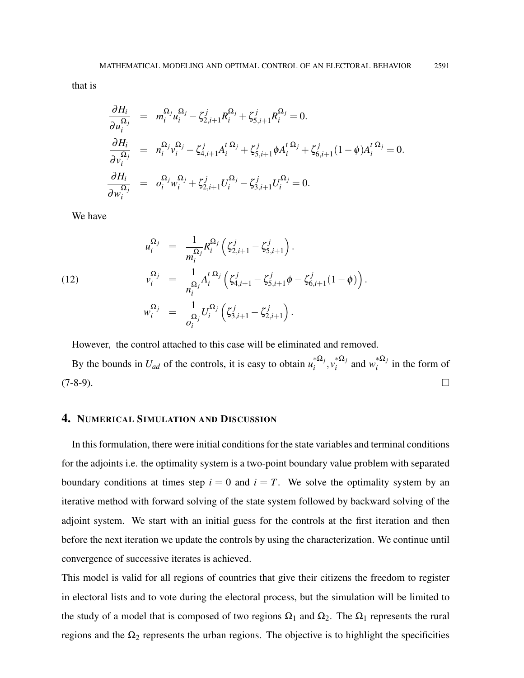$$
\frac{\partial H_i}{\partial u_i^{\Omega_j}} = m_i^{\Omega_j} u_i^{\Omega_j} - \zeta_{2,i+1}^j R_i^{\Omega_j} + \zeta_{5,i+1}^j R_i^{\Omega_j} = 0.
$$
\n
$$
\frac{\partial H_i}{\partial v_i^{\Omega_j}} = n_i^{\Omega_j} v_i^{\Omega_j} - \zeta_{4,i+1}^j A_i^t^{\Omega_j} + \zeta_{5,i+1}^j \phi A_i^t^{\Omega_j} + \zeta_{6,i+1}^j (1 - \phi) A_i^t^{\Omega_j} = 0.
$$
\n
$$
\frac{\partial H_i}{\partial w_i^{\Omega_j}} = o_i^{\Omega_j} w_i^{\Omega_j} + \zeta_{2,i+1}^j U_i^{\Omega_j} - \zeta_{3,i+1}^j U_i^{\Omega_j} = 0.
$$

We have

(12)  
\n
$$
u_i^{\Omega_j} = \frac{1}{m_i^{\Omega_j}} R_i^{\Omega_j} \left( \zeta_{2,i+1}^j - \zeta_{5,i+1}^j \right).
$$
\n
$$
v_i^{\Omega_j} = \frac{1}{n_i^{\Omega_j}} A_i^{t \Omega_j} \left( \zeta_{4,i+1}^j - \zeta_{5,i+1}^j \phi - \zeta_{6,i+1}^j (1 - \phi) \right).
$$
\n
$$
w_i^{\Omega_j} = \frac{1}{o_i^{\Omega_j}} U_i^{\Omega_j} \left( \zeta_{3,i+1}^j - \zeta_{2,i+1}^j \right).
$$

However, the control attached to this case will be eliminated and removed.

By the bounds in  $U_{ad}$  of the controls, it is easy to obtain  $u_i^{* \Omega_j}$  $_{i}^{*0}$ <sub>*i*</sub>,  $v_{i}^{*0}$ <sub>*j*</sub>  $\sum_{i}^{*\Omega_j}$  and  $w_i^{*\Omega_j}$  $\int_{i}^{22}$  in the form of  $(7-8-9)$ .

# 4. NUMERICAL SIMULATION AND DISCUSSION

In this formulation, there were initial conditions for the state variables and terminal conditions for the adjoints i.e. the optimality system is a two-point boundary value problem with separated boundary conditions at times step  $i = 0$  and  $i = T$ . We solve the optimality system by an iterative method with forward solving of the state system followed by backward solving of the adjoint system. We start with an initial guess for the controls at the first iteration and then before the next iteration we update the controls by using the characterization. We continue until convergence of successive iterates is achieved.

This model is valid for all regions of countries that give their citizens the freedom to register in electoral lists and to vote during the electoral process, but the simulation will be limited to the study of a model that is composed of two regions  $\Omega_1$  and  $\Omega_2$ . The  $\Omega_1$  represents the rural regions and the  $\Omega_2$  represents the urban regions. The objective is to highlight the specificities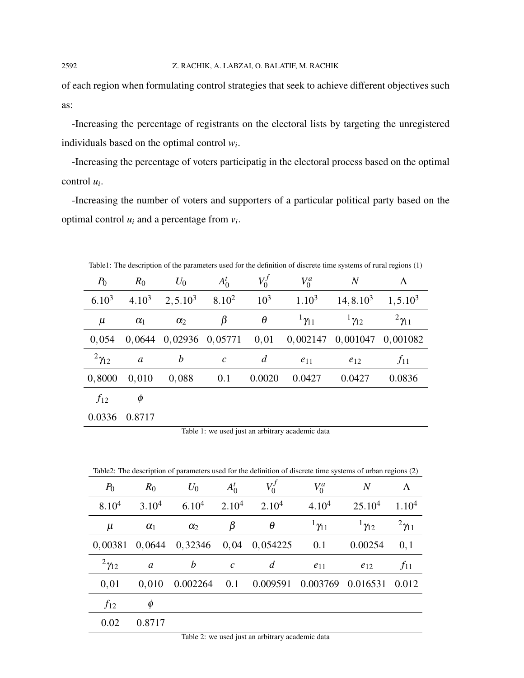of each region when formulating control strategies that seek to achieve different objectives such as:

-Increasing the percentage of registrants on the electoral lists by targeting the unregistered individuals based on the optimal control *w<sup>i</sup>* .

-Increasing the percentage of voters participatig in the electoral process based on the optimal control *u<sup>i</sup>* .

-Increasing the number of voters and supporters of a particular political party based on the optimal control  $u_i$  and a percentage from  $v_i$ .

| where the description of the parameters ased for the definition of diserete third spotting of future regions $\langle 1 \rangle$ |            |                              |                       |          |                           |                            |                   |  |  |  |  |
|----------------------------------------------------------------------------------------------------------------------------------|------------|------------------------------|-----------------------|----------|---------------------------|----------------------------|-------------------|--|--|--|--|
| $P_0$                                                                                                                            | $R_0$      | $U_0$                        | $A_0^t$               | $V_0'$   | $V_0^a$                   | $\overline{N}$             | Λ                 |  |  |  |  |
| $6.10^{3}$                                                                                                                       | $4.10^{3}$ | $2, 5.10^3$                  | $8.10^{2}$            | $10^{3}$ | $1.10^3$                  | $14, 8.10^3$               | $1, 5.10^3$       |  |  |  |  |
| $\mu$                                                                                                                            | $\alpha_1$ | $\alpha_2$                   | β                     | $\theta$ | $\frac{1}{1} \gamma_{11}$ | $1\gamma_{12}$             | $^{2}\gamma_{11}$ |  |  |  |  |
| 0,054                                                                                                                            |            | $0,0644$ $0,02936$ $0,05771$ |                       | 0,01     |                           | 0,002147 0,001047 0,001082 |                   |  |  |  |  |
| $2\gamma_{12}$                                                                                                                   | a          | $\boldsymbol{b}$             | $\mathcal{C}_{0}^{0}$ | d        | $e_{11}$                  | $e_{12}$                   | $f_{11}$          |  |  |  |  |
| 0,8000                                                                                                                           | 0,010      | 0,088                        | 0.1                   | 0.0020   | 0.0427                    | 0.0427                     | 0.0836            |  |  |  |  |
| $f_{12}$                                                                                                                         | $\phi$     |                              |                       |          |                           |                            |                   |  |  |  |  |
| 0.0336                                                                                                                           | 0.8717     |                              |                       |          |                           |                            |                   |  |  |  |  |

Table1: The description of the parameters used for the definition of discrete time systems of rural regions (1)

Table 1: we used just an arbitrary academic data

Table2: The description of parameters used for the definition of discrete time systems of urban regions (2)

| $P_0$          | $R_0$             | $U_0$             | $A_0^t$           | $V_0^J$           | $V_0^a$           | $\boldsymbol{N}$   | Λ                 |
|----------------|-------------------|-------------------|-------------------|-------------------|-------------------|--------------------|-------------------|
| $8.10^{4}$     | 3.10 <sup>4</sup> | 6.10 <sup>4</sup> | 2.10 <sup>4</sup> | 2.10 <sup>4</sup> | 4.10 <sup>4</sup> | 25.10 <sup>4</sup> | 1.10 <sup>4</sup> |
| $\mu$          | $\alpha_1$        | $\alpha_2$        | β                 | $\theta$          | $^{1}\gamma_{11}$ | $1\gamma_{12}$     | $^{2}\gamma_{11}$ |
| 0,00381        | 0,0644            | 0,32346           | 0,04              | 0,054225          | 0.1               | 0.00254            | 0,1               |
| $2\gamma_{12}$ | a                 | $\boldsymbol{b}$  | $\mathcal{C}$     | $\overline{d}$    | $e_{11}$          | $e_{12}$           | $f_{11}$          |
| 0,01           | 0,010             | 0.002264          | 0.1               | 0.009591          | 0.003769          | 0.016531           | 0.012             |
| $f_{12}$       | φ                 |                   |                   |                   |                   |                    |                   |
| 0.02           | 0.8717            |                   |                   |                   |                   |                    |                   |

Table 2: we used just an arbitrary academic data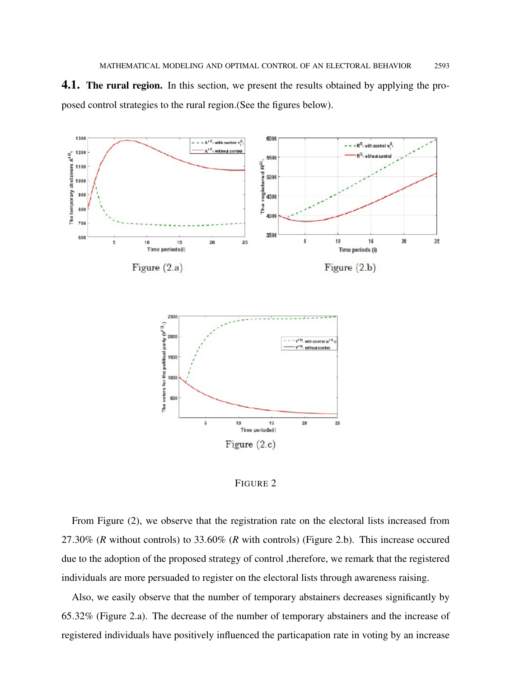



FIGURE 2

From Figure (2), we observe that the registration rate on the electoral lists increased from 27.30% (*R* without controls) to 33.60% (*R* with controls) (Figure 2.b). This increase occured due to the adoption of the proposed strategy of control ,therefore, we remark that the registered individuals are more persuaded to register on the electoral lists through awareness raising.

Also, we easily observe that the number of temporary abstainers decreases significantly by 65.32% (Figure 2.a). The decrease of the number of temporary abstainers and the increase of registered individuals have positively influenced the particapation rate in voting by an increase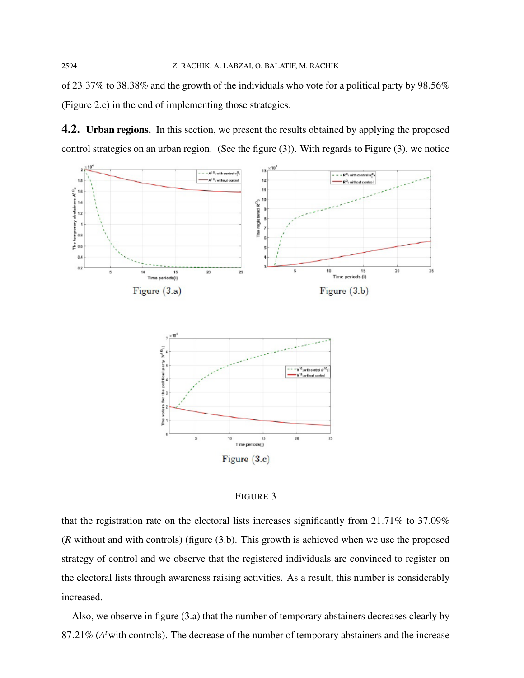of 23.37% to 38.38% and the growth of the individuals who vote for a political party by 98.56% (Figure 2.c) in the end of implementing those strategies.

**4.2.** Urban regions. In this section, we present the results obtained by applying the proposed control strategies on an urban region. (See the figure (3)). With regards to Figure (3), we notice



#### FIGURE 3

that the registration rate on the electoral lists increases significantly from 21.71% to 37.09% (*R* without and with controls) (figure (3.b). This growth is achieved when we use the proposed strategy of control and we observe that the registered individuals are convinced to register on the electoral lists through awareness raising activities. As a result, this number is considerably increased.

Also, we observe in figure (3.a) that the number of temporary abstainers decreases clearly by 87.21% (*A <sup>t</sup>*with controls). The decrease of the number of temporary abstainers and the increase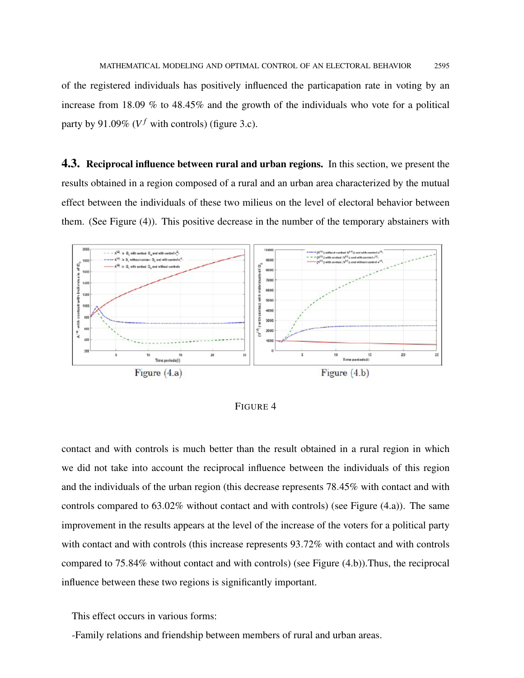of the registered individuals has positively influenced the particapation rate in voting by an increase from 18.09 % to 48.45% and the growth of the individuals who vote for a political party by 91.09% ( $V^f$  with controls) (figure 3.c).

4.3. Reciprocal influence between rural and urban regions. In this section, we present the results obtained in a region composed of a rural and an urban area characterized by the mutual effect between the individuals of these two milieus on the level of electoral behavior between them. (See Figure (4)). This positive decrease in the number of the temporary abstainers with



FIGURE 4

contact and with controls is much better than the result obtained in a rural region in which we did not take into account the reciprocal influence between the individuals of this region and the individuals of the urban region (this decrease represents 78.45% with contact and with controls compared to 63.02% without contact and with controls) (see Figure (4.a)). The same improvement in the results appears at the level of the increase of the voters for a political party with contact and with controls (this increase represents  $93.72\%$  with contact and with controls compared to 75.84% without contact and with controls) (see Figure (4.b)).Thus, the reciprocal influence between these two regions is significantly important.

This effect occurs in various forms:

-Family relations and friendship between members of rural and urban areas.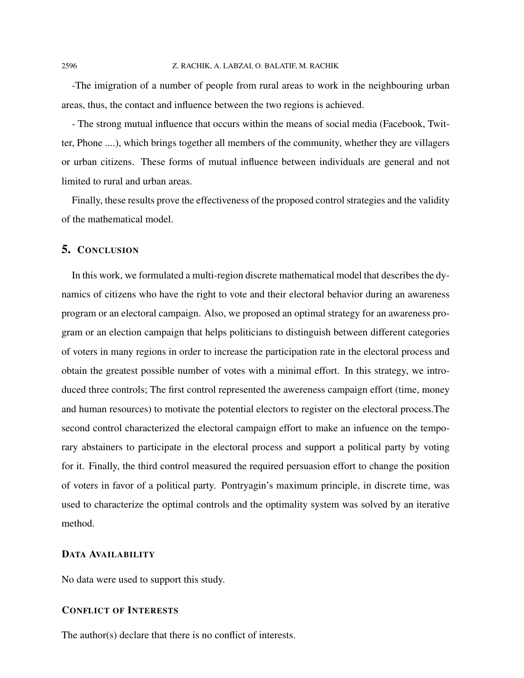-The imigration of a number of people from rural areas to work in the neighbouring urban areas, thus, the contact and influence between the two regions is achieved.

- The strong mutual influence that occurs within the means of social media (Facebook, Twitter, Phone ....), which brings together all members of the community, whether they are villagers or urban citizens. These forms of mutual influence between individuals are general and not limited to rural and urban areas.

Finally, these results prove the effectiveness of the proposed control strategies and the validity of the mathematical model.

## 5. CONCLUSION

In this work, we formulated a multi-region discrete mathematical model that describes the dynamics of citizens who have the right to vote and their electoral behavior during an awareness program or an electoral campaign. Also, we proposed an optimal strategy for an awareness program or an election campaign that helps politicians to distinguish between different categories of voters in many regions in order to increase the participation rate in the electoral process and obtain the greatest possible number of votes with a minimal effort. In this strategy, we introduced three controls; The first control represented the awereness campaign effort (time, money and human resources) to motivate the potential electors to register on the electoral process.The second control characterized the electoral campaign effort to make an infuence on the temporary abstainers to participate in the electoral process and support a political party by voting for it. Finally, the third control measured the required persuasion effort to change the position of voters in favor of a political party. Pontryagin's maximum principle, in discrete time, was used to characterize the optimal controls and the optimality system was solved by an iterative method.

#### DATA AVAILABILITY

No data were used to support this study.

### CONFLICT OF INTERESTS

The author(s) declare that there is no conflict of interests.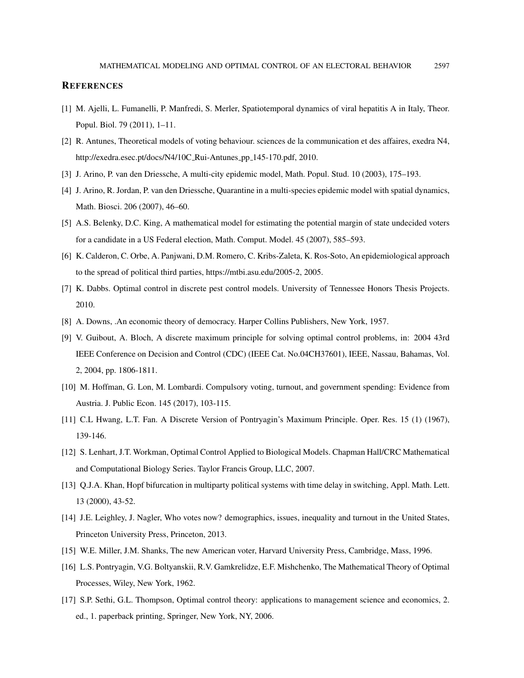#### **REFERENCES**

- [1] M. Ajelli, L. Fumanelli, P. Manfredi, S. Merler, Spatiotemporal dynamics of viral hepatitis A in Italy, Theor. Popul. Biol. 79 (2011), 1–11.
- [2] R. Antunes, Theoretical models of voting behaviour. sciences de la communication et des affaires, exedra N4, http://exedra.esec.pt/docs/N4/10C\_Rui-Antunes\_pp\_145-170.pdf, 2010.
- [3] J. Arino, P. van den Driessche, A multi-city epidemic model, Math. Popul. Stud. 10 (2003), 175–193.
- [4] J. Arino, R. Jordan, P. van den Driessche, Quarantine in a multi-species epidemic model with spatial dynamics, Math. Biosci. 206 (2007), 46–60.
- [5] A.S. Belenky, D.C. King, A mathematical model for estimating the potential margin of state undecided voters for a candidate in a US Federal election, Math. Comput. Model. 45 (2007), 585–593.
- [6] K. Calderon, C. Orbe, A. Panjwani, D.M. Romero, C. Kribs-Zaleta, K. Ros-Soto, An epidemiological approach to the spread of political third parties, https://mtbi.asu.edu/2005-2, 2005.
- [7] K. Dabbs. Optimal control in discrete pest control models. University of Tennessee Honors Thesis Projects. 2010.
- [8] A. Downs, .An economic theory of democracy. Harper Collins Publishers, New York, 1957.
- [9] V. Guibout, A. Bloch, A discrete maximum principle for solving optimal control problems, in: 2004 43rd IEEE Conference on Decision and Control (CDC) (IEEE Cat. No.04CH37601), IEEE, Nassau, Bahamas, Vol. 2, 2004, pp. 1806-1811.
- [10] M. Hoffman, G. Lon, M. Lombardi. Compulsory voting, turnout, and government spending: Evidence from Austria. J. Public Econ. 145 (2017), 103-115.
- [11] C.L Hwang, L.T. Fan. A Discrete Version of Pontryagin's Maximum Principle. Oper. Res. 15 (1) (1967), 139-146.
- [12] S. Lenhart, J.T. Workman, Optimal Control Applied to Biological Models. Chapman Hall/CRC Mathematical and Computational Biology Series. Taylor Francis Group, LLC, 2007.
- [13] Q.J.A. Khan, Hopf bifurcation in multiparty political systems with time delay in switching, Appl. Math. Lett. 13 (2000), 43-52.
- [14] J.E. Leighley, J. Nagler, Who votes now? demographics, issues, inequality and turnout in the United States, Princeton University Press, Princeton, 2013.
- [15] W.E. Miller, J.M. Shanks, The new American voter, Harvard University Press, Cambridge, Mass, 1996.
- [16] L.S. Pontryagin, V.G. Boltyanskii, R.V. Gamkrelidze, E.F. Mishchenko, The Mathematical Theory of Optimal Processes, Wiley, New York, 1962.
- [17] S.P. Sethi, G.L. Thompson, Optimal control theory: applications to management science and economics, 2. ed., 1. paperback printing, Springer, New York, NY, 2006.